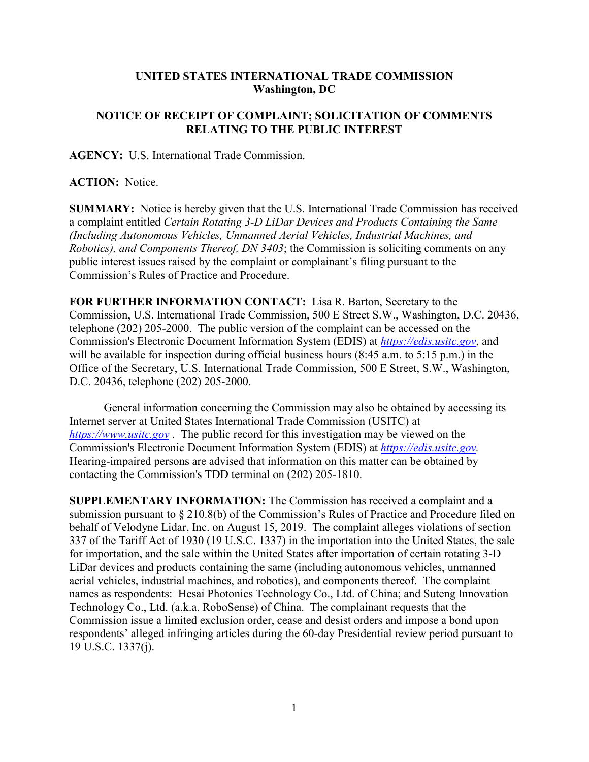## **UNITED STATES INTERNATIONAL TRADE COMMISSION Washington, DC**

## **NOTICE OF RECEIPT OF COMPLAINT; SOLICITATION OF COMMENTS RELATING TO THE PUBLIC INTEREST**

**AGENCY:** U.S. International Trade Commission.

## **ACTION:** Notice.

**SUMMARY:** Notice is hereby given that the U.S. International Trade Commission has received a complaint entitled *Certain Rotating 3-D LiDar Devices and Products Containing the Same (Including Autonomous Vehicles, Unmanned Aerial Vehicles, Industrial Machines, and Robotics), and Components Thereof, DN 3403*; the Commission is soliciting comments on any public interest issues raised by the complaint or complainant's filing pursuant to the Commission's Rules of Practice and Procedure.

**FOR FURTHER INFORMATION CONTACT:** Lisa R. Barton, Secretary to the Commission, U.S. International Trade Commission, 500 E Street S.W., Washington, D.C. 20436, telephone (202) 205-2000. The public version of the complaint can be accessed on the Commission's Electronic Document Information System (EDIS) at *[https://edis.usitc.gov](https://edis.usitc.gov/)*, and will be available for inspection during official business hours (8:45 a.m. to 5:15 p.m.) in the Office of the Secretary, U.S. International Trade Commission, 500 E Street, S.W., Washington, D.C. 20436, telephone (202) 205-2000.

General information concerning the Commission may also be obtained by accessing its Internet server at United States International Trade Commission (USITC) at *[https://www.usitc.gov](https://www.usitc.gov/)* . The public record for this investigation may be viewed on the Commission's Electronic Document Information System (EDIS) at *[https://edis.usitc.gov.](https://edis.usitc.gov/)* Hearing-impaired persons are advised that information on this matter can be obtained by contacting the Commission's TDD terminal on (202) 205-1810.

**SUPPLEMENTARY INFORMATION:** The Commission has received a complaint and a submission pursuant to § 210.8(b) of the Commission's Rules of Practice and Procedure filed on behalf of Velodyne Lidar, Inc. on August 15, 2019. The complaint alleges violations of section 337 of the Tariff Act of 1930 (19 U.S.C. 1337) in the importation into the United States, the sale for importation, and the sale within the United States after importation of certain rotating 3-D LiDar devices and products containing the same (including autonomous vehicles, unmanned aerial vehicles, industrial machines, and robotics), and components thereof. The complaint names as respondents: Hesai Photonics Technology Co., Ltd. of China; and Suteng Innovation Technology Co., Ltd. (a.k.a. RoboSense) of China. The complainant requests that the Commission issue a limited exclusion order, cease and desist orders and impose a bond upon respondents' alleged infringing articles during the 60-day Presidential review period pursuant to 19 U.S.C. 1337(j).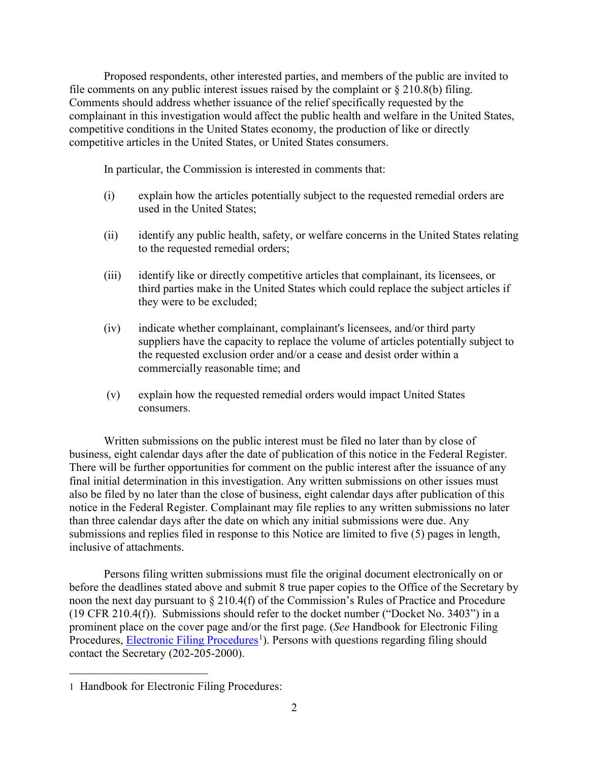Proposed respondents, other interested parties, and members of the public are invited to file comments on any public interest issues raised by the complaint or  $\S 210.8(b)$  filing. Comments should address whether issuance of the relief specifically requested by the complainant in this investigation would affect the public health and welfare in the United States, competitive conditions in the United States economy, the production of like or directly competitive articles in the United States, or United States consumers.

In particular, the Commission is interested in comments that:

- (i) explain how the articles potentially subject to the requested remedial orders are used in the United States;
- (ii) identify any public health, safety, or welfare concerns in the United States relating to the requested remedial orders;
- (iii) identify like or directly competitive articles that complainant, its licensees, or third parties make in the United States which could replace the subject articles if they were to be excluded;
- (iv) indicate whether complainant, complainant's licensees, and/or third party suppliers have the capacity to replace the volume of articles potentially subject to the requested exclusion order and/or a cease and desist order within a commercially reasonable time; and
- (v) explain how the requested remedial orders would impact United States consumers.

Written submissions on the public interest must be filed no later than by close of business, eight calendar days after the date of publication of this notice in the Federal Register. There will be further opportunities for comment on the public interest after the issuance of any final initial determination in this investigation. Any written submissions on other issues must also be filed by no later than the close of business, eight calendar days after publication of this notice in the Federal Register. Complainant may file replies to any written submissions no later than three calendar days after the date on which any initial submissions were due. Any submissions and replies filed in response to this Notice are limited to five (5) pages in length, inclusive of attachments.

Persons filing written submissions must file the original document electronically on or before the deadlines stated above and submit 8 true paper copies to the Office of the Secretary by noon the next day pursuant to § 210.4(f) of the Commission's Rules of Practice and Procedure (19 CFR 210.4(f)). Submissions should refer to the docket number ("Docket No. 3403") in a prominent place on the cover page and/or the first page. (*See* Handbook for Electronic Filing Procedures, **Electronic Filing Procedures**<sup>[1](#page-1-0)</sup>). Persons with questions regarding filing should contact the Secretary (202-205-2000).

<span id="page-1-0"></span> $\overline{a}$ 1 Handbook for Electronic Filing Procedures: